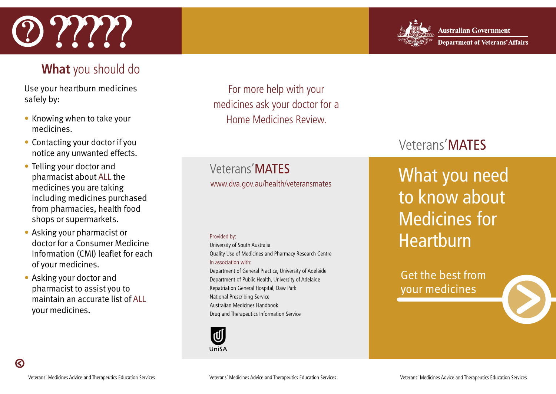# $\Omega$  ?????



#### **What** you should do

Use your heartburn medicines safely by:

- medicines.
- Contacting your doctor if you notice any unwanted effects.
- Telling your doctor and pharmacist about ALL the medicines you are taking including medicines purchased from pharmacies, health food shops or supermarkets.
- Asking your pharmacist or doctor for a Consumer Medicine Information (CMI) leaflet for each of your medicines.
- Asking your doctor and pharmacist to assist you to maintain an accurate list of ALL your medicines.

For more help with your medicines ask your doctor for a • Knowing when to take your **Example 20** Home Medicines Review

> Veterans'MATES www.dva.gov.au/health/veteransmates

#### Provided by:

University of South Australia Quality Use of Medicines and Pharmacy Research Centre In association with: Department of General Practice, University of Adelaide Department of Public Health, University of Adelaide Repatriation General Hospital, Daw Park National Prescribing Service Australian Medicines Handbook

Drug and Therapeutics Information Service



## Veterans'MATES

What you need to know about Medicines for Heartburn

Get the best from your medicines

 $\odot$